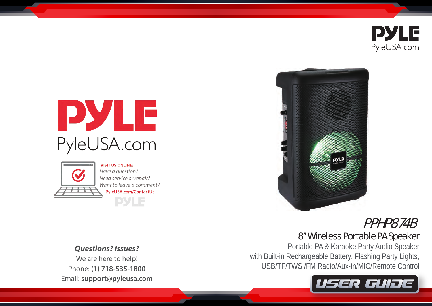

# PYLE PyleUSA.com



**VISIT US ONLINE:** Have a question? Need service or repair? Want to leave a comment? PyleUSA.com/ContactUs **PYLE** 

*Questions? Issues?*

We are here to help! Phone: **(1) 718-535-1800** Email: **support@pyleusa.com**



# PPHP874B

## 8'' Wireless Portable PA Speaker

Portable PA & Karaoke Party Audio Speaker with Built-in Rechargeable Battery, Flashing Party Lights, USB/TF/TWS /FM Radio/Aux-in/MIC/Remote Control

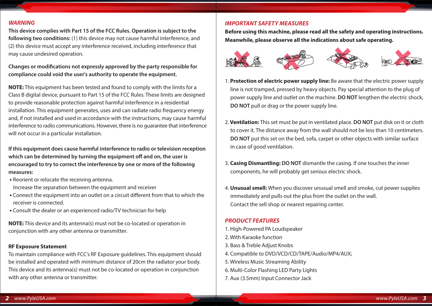#### *WARNING*

**This device complies with Part 15 of the FCC Rules. Operation is subject to the following two conditions:** (1) this device may not cause harmful interference, and (2) this device must accept any interference received, including interference that may cause undesired operation.

Changes or modifications not expressly approved by the party responsible for **compliance could void the user's authority to operate the equipment.**

**NOTE:** This equipment has been tested and found to comply with the limits for a Class B digital device, pursuant to Part 15 of the FCC Rules. These limits are designed to provide reasonable protection against harmful interference in a residential installation. This equipment generates, uses and can radiate radio frequency energy and, if not installed and used in accordance with the instructions, may cause harmful interference to radio communications. However, there is no guarantee that interference will not occur in a particular installation.

**If this equipment does cause harmful interference to radio or television reception**  which can be determined by turning the equipment off and on, the user is **encouraged to try to correct the interference by one or more of the following measures:**

- Reorient or relocate the receiving antenna. Increase the separation between the equipment and receiver
- Connect the equipment into an outlet on a circuit different from that to which the receiver is connected.
- Consult the dealer or an experienced radio/TV technician for help

**NOTE:** This device and its antenna(s) must not be co-located or operation in conjunction with any other antenna or transmitter.

#### **RF Exposure Statement**

To maintain compliance with FCC's RF Exposure guidelines. This equipment should be installed and operated with minimum distance of 20cm the radiator your body. This device and its antenna(s) must not be co-located or operation in conjunction with any other antenna or transmitter.

#### *IMPORTANT SAFETY MEASURES*

**Before using this machine, please read all the safety and operating instructions. Meanwhile, please observe all the indications about safe operating.**



- 1. **Protection of electric power supply line:** Be aware that the electric power supply line is not tramped, pressed by heavy objects. Pay special attention to the plug of power supply line and outlet on the machine. **DO NOT** lengthen the electric shock, **DO NOT** pull or drag or the power supply line.
- 2. **Ventilation:** This set must be put in ventilated place. **DO NOT** put disk on it or cloth to cover it. The distance away from the wall should not be less than 10 centimeters. **DO NOT** put this set on the bed, sofa, carpet or other objects with similar surface in case of good ventilation.
- 3. **Casing Dismantling: DO NOT** dismantle the casing. If one touches the inner components, he will probably get serious electric shock.
- 4. **Unusual smell:** When you discover unusual smell and smoke, cut power supplies immediately and pulls out the plus from the outlet on the wall. Contact the sell shop or nearest repairing center.

#### *PRODUCT FEATURES*

- 1. High-Powered PA Loudspeaker
- 2. With Karaoke function
- 3. Bass & Treble Adjust Knobs
- 4. Compatible to DVD/VCD/CD/TAPE/Audio/MP4/AUX;
- 5. Wireless Music Streaming Ability
- 6. Multi-Color Flashing LED Party Lights
- 7. Aux (3.5mm) Input Connector Jack